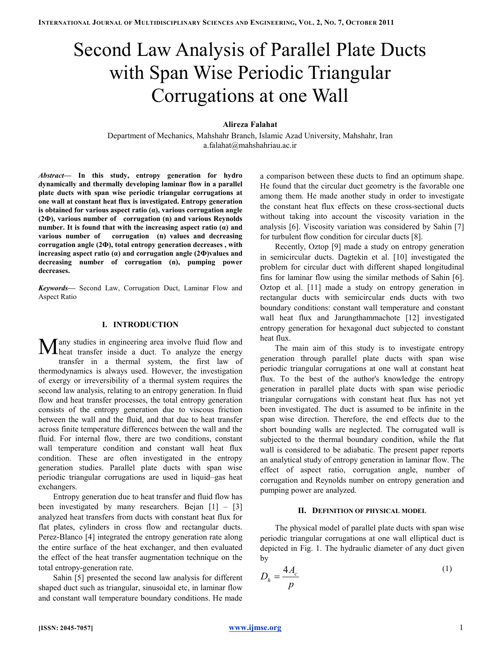# Second Law Analysis of Parallel Plate Ducts with Span Wise Periodic Triangular Corrugations at one Wall

### Alireza Falahat

Department of Mechanics, Mahshahr Branch, Islamic Azad University, Mahshahr, Iran a.falahat@mahshahriau.ac.ir

Abstract— In this study, entropy generation for hydro dynamically and thermally developing laminar flow in a parallel plate ducts with span wise periodic triangular corrugations at one wall at constant heat flux is investigated. Entropy generation is obtained for various aspect ratio (α), various corrugation angle (2Ф), various number of corrugation (n) and various Reynolds number. It is found that with the increasing aspect ratio  $(a)$  and various number of corrugation (n) values and decreasing corrugation angle (2Ф), total entropy generation decreases , with increasing aspect ratio  $(a)$  and corrugation angle  $(2\Phi)$ values and decreasing number of corrugation (n), pumping power decreases.

Keywords- Second Law, Corrugation Duct, Laminar Flow and Aspect Ratio

#### I. INTRODUCTION

any studies in engineering area involve fluid flow and Many studies in engineering area involve fluid flow and heat transfer inside a duct. To analyze the energy transfer in a thermal system, the first law of thermodynamics is always used. However, the investigation of exergy or irreversibility of a thermal system requires the second law analysis, relating to an entropy generation. In fluid flow and heat transfer processes, the total entropy generation consists of the entropy generation due to viscous friction between the wall and the fluid, and that due to heat transfer across finite temperature differences between the wall and the fluid. For internal flow, there are two conditions, constant wall temperature condition and constant wall heat flux condition. These are often investigated in the entropy generation studies. Parallel plate ducts with span wise periodic triangular corrugations are used in liquid–gas heat exchangers.

Entropy generation due to heat transfer and fluid flow has been investigated by many researchers. Bejan  $[1] - [3]$ analyzed heat transfers from ducts with constant heat flux for flat plates, cylinders in cross flow and rectangular ducts. Perez-Blanco [4] integrated the entropy generation rate along the entire surface of the heat exchanger, and then evaluated the effect of the heat transfer augmentation technique on the total entropy-generation rate.

Sahin [5] presented the second law analysis for different shaped duct such as triangular, sinusoidal etc, in laminar flow and constant wall temperature boundary conditions. He made a comparison between these ducts to find an optimum shape. He found that the circular duct geometry is the favorable one among them. He made another study in order to investigate the constant heat flux effects on these cross-sectional ducts without taking into account the viscosity variation in the analysis [6]. Viscosity variation was considered by Sahin [7] for turbulent flow condition for circular ducts [8].

Recently, Oztop [9] made a study on entropy generation in semicircular ducts. Dagtekin et al. [10] investigated the problem for circular duct with different shaped longitudinal fins for laminar flow using the similar methods of Sahin [6]. Oztop et al. [11] made a study on entropy generation in rectangular ducts with semicircular ends ducts with two boundary conditions: constant wall temperature and constant wall heat flux and Jarungthammachote [12] investigated entropy generation for hexagonal duct subjected to constant heat flux.

The main aim of this study is to investigate entropy generation through parallel plate ducts with span wise periodic triangular corrugations at one wall at constant heat flux. To the best of the author's knowledge the entropy generation in parallel plate ducts with span wise periodic triangular corrugations with constant heat flux has not yet been investigated. The duct is assumed to be infinite in the span wise direction. Therefore, the end effects due to the short bounding walls are neglected. The corrugated wall is subjected to the thermal boundary condition, while the flat wall is considered to be adiabatic. The present paper reports an analytical study of entropy generation in laminar flow. The effect of aspect ratio, corrugation angle, number of corrugation and Reynolds number on entropy generation and pumping power are analyzed.

#### II. DEFINITION OF PHYSICAL MODEL

The physical model of parallel plate ducts with span wise periodic triangular corrugations at one wall elliptical duct is depicted in Fig. 1. The hydraulic diameter of any duct given by

$$
D_h = \frac{4A_c}{p} \tag{1}
$$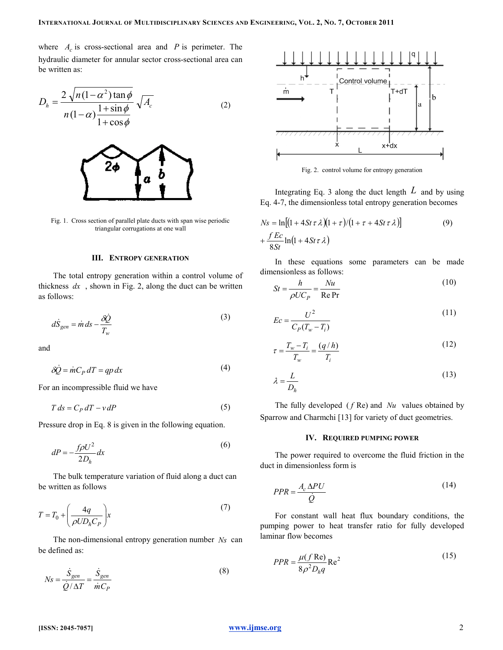where  $A_c$  is cross-sectional area and P is perimeter. The hydraulic diameter for annular sector cross-sectional area can be written as:

$$
D_h = \frac{2\sqrt{n(1-\alpha^2)\tan\phi}}{n(1-\alpha)\frac{1+\sin\phi}{1+\cos\phi}}\sqrt{A_c}
$$
 (2)



Fig. 1. Cross section of parallel plate ducts with span wise periodic triangular corrugations at one wall

#### III. ENTROPY GENERATION

The total entropy generation within a control volume of thickness  $dx$ , shown in Fig. 2, along the duct can be written as follows:

$$
d\dot{S}_{gen} = \dot{m} ds - \frac{\delta \dot{Q}}{T_w} \tag{3}
$$

and

$$
\delta \dot{Q} = \dot{m} C_P dT = qp dx \tag{4}
$$

For an incompressible fluid we have

$$
T ds = C_P dT - v dP \tag{5}
$$

Pressure drop in Eq. 8 is given in the following equation.

$$
dP = -\frac{f\rho U^2}{2D_h}dx\tag{6}
$$

The bulk temperature variation of fluid along a duct can be written as follows

$$
T = T_0 + \left(\frac{4q}{\rho UD_hC_P}\right)x\tag{7}
$$

The non-dimensional entropy generation number  $Ns$  can be defined as:

$$
Ns = \frac{\dot{S}_{gen}}{\dot{Q}/\Delta T} = \frac{\dot{S}_{gen}}{\dot{m}C_P}
$$
(8)



Fig. 2. control volume for entropy generation

Integrating Eq. 3 along the duct length  $L$  and by using Eq. 4-7, the dimensionless total entropy generation becomes

$$
Ns = \ln[(1 + 4St\tau \lambda)(1 + \tau)/(1 + \tau + 4St\tau \lambda)]
$$
\n
$$
+ \frac{fEc}{8St} \ln(1 + 4St\tau \lambda)
$$
\n(9)

In these equations some parameters can be made dimensionless as follows:

$$
St = \frac{h}{\rho U C_P} = \frac{Nu}{\text{Re Pr}}\tag{10}
$$

$$
Ec = \frac{U^2}{C_P(T_w - T_i)}
$$
\n<sup>(11)</sup>

$$
\tau = \frac{T_w - T_i}{T_w} = \frac{(q/h)}{T_i} \tag{12}
$$

$$
\lambda = \frac{L}{D_h} \tag{13}
$$

The fully developed  $(f \text{Re})$  and  $Nu$  values obtained by Sparrow and Charmchi [13] for variety of duct geometries.

#### IV. REQUIRED PUMPING POWER

The power required to overcome the fluid friction in the duct in dimensionless form is

$$
PPR = \frac{A_c \Delta P U}{\dot{Q}}\tag{14}
$$

For constant wall heat flux boundary conditions, the pumping power to heat transfer ratio for fully developed laminar flow becomes

$$
PPR = \frac{\mu(f \operatorname{Re})}{8\rho^2 D_h q} \operatorname{Re}^2 \tag{15}
$$

## [ISSN: 2045-7057] www.ijmse.org 2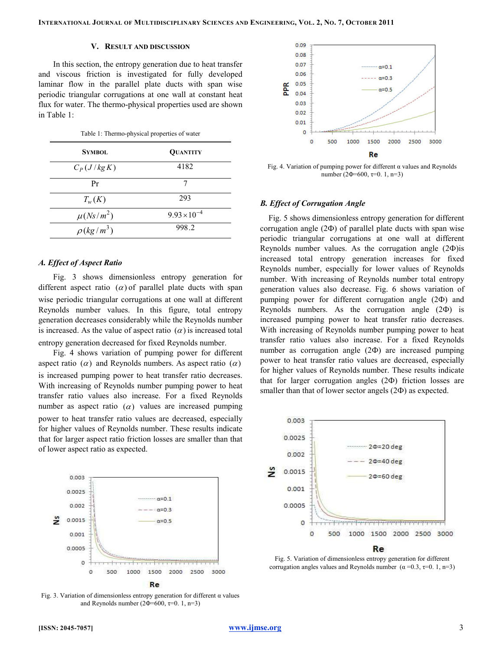#### V. RESULT AND DISCUSSION

In this section, the entropy generation due to heat transfer and viscous friction is investigated for fully developed laminar flow in the parallel plate ducts with span wise periodic triangular corrugations at one wall at constant heat flux for water. The thermo-physical properties used are shown in Table 1:

Table 1: Thermo-physical properties of water

| <b>SYMBOL</b>               | <b>QUANTITY</b>       |
|-----------------------------|-----------------------|
| $C_p(J/kg K)$               | 4182                  |
| Pr                          |                       |
| $T_{w}(K)$                  | 293                   |
| $\mu(Ns/m^2)$               | $9.93 \times 10^{-4}$ |
| $\rho$ (kg/m <sup>3</sup> ) | 998.2                 |

#### A. Effect of Aspect Ratio

Fig. 3 shows dimensionless entropy generation for different aspect ratio  $(\alpha)$  of parallel plate ducts with span wise periodic triangular corrugations at one wall at different Reynolds number values. In this figure, total entropy generation decreases considerably while the Reynolds number is increased. As the value of aspect ratio  $(\alpha)$  is increased total entropy generation decreased for fixed Reynolds number.

Fig. 4 shows variation of pumping power for different aspect ratio ( $\alpha$ ) and Reynolds numbers. As aspect ratio ( $\alpha$ ) is increased pumping power to heat transfer ratio decreases. With increasing of Reynolds number pumping power to heat transfer ratio values also increase. For a fixed Reynolds number as aspect ratio  $(\alpha)$  values are increased pumping power to heat transfer ratio values are decreased, especially for higher values of Reynolds number. These results indicate that for larger aspect ratio friction losses are smaller than that of lower aspect ratio as expected.



Fig. 3. Variation of dimensionless entropy generation for different  $\alpha$  values and Reynolds number (2Φ=600,  $\tau$ =0. 1, n=3)



Fig. 4. Variation of pumping power for different  $\alpha$  values and Reynolds number (2Φ=600,  $\tau$ =0. 1, n=3)

#### B. Effect of Corrugation Angle

Fig. 5 shows dimensionless entropy generation for different corrugation angle  $(2\Phi)$  of parallel plate ducts with span wise periodic triangular corrugations at one wall at different Reynolds number values. As the corrugation angle (2Ф)is increased total entropy generation increases for fixed Reynolds number, especially for lower values of Reynolds number. With increasing of Reynolds number total entropy generation values also decrease. Fig. 6 shows variation of pumping power for different corrugation angle (2Ф) and Reynolds numbers. As the corrugation angle (2Ф) is increased pumping power to heat transfer ratio decreases. With increasing of Reynolds number pumping power to heat transfer ratio values also increase. For a fixed Reynolds number as corrugation angle (2Ф) are increased pumping power to heat transfer ratio values are decreased, especially for higher values of Reynolds number. These results indicate that for larger corrugation angles (2Ф) friction losses are smaller than that of lower sector angels (2 $\Phi$ ) as expected.



Fig. 5. Variation of dimensionless entropy generation for different corrugation angles values and Reynolds number  $(\alpha = 0.3, \tau = 0.1, n=3)$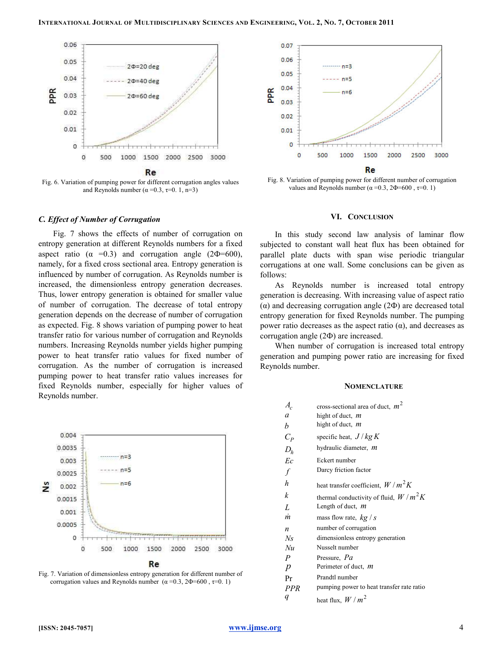

Fig. 6. Variation of pumping power for different corrugation angles values and Reynolds number ( $\alpha$  =0.3,  $\tau$ =0.1, n=3)

#### C. Effect of Number of Corrugation

Fig. 7 shows the effects of number of corrugation on entropy generation at different Reynolds numbers for a fixed aspect ratio ( $\alpha$  =0.3) and corrugation angle (2 $\Phi$ =600), namely, for a fixed cross sectional area. Entropy generation is influenced by number of corrugation. As Reynolds number is increased, the dimensionless entropy generation decreases. Thus, lower entropy generation is obtained for smaller value of number of corrugation. The decrease of total entropy generation depends on the decrease of number of corrugation as expected. Fig. 8 shows variation of pumping power to heat transfer ratio for various number of corrugation and Reynolds numbers. Increasing Reynolds number yields higher pumping power to heat transfer ratio values for fixed number of corrugation. As the number of corrugation is increased pumping power to heat transfer ratio values increases for fixed Reynolds number, especially for higher values of Reynolds number.



Fig. 7. Variation of dimensionless entropy generation for different number of corrugation values and Reynolds number  $(\alpha = 0.3, 2\Phi = 600, \tau = 0.1)$ 



Fig. 8. Variation of pumping power for different number of corrugation values and Reynolds number ( $\alpha = 0.3$ ,  $2\Phi = 600$ ,  $\tau = 0.1$ )

#### VI. CONCLUSION

In this study second law analysis of laminar flow subjected to constant wall heat flux has been obtained for parallel plate ducts with span wise periodic triangular corrugations at one wall. Some conclusions can be given as follows:

As Reynolds number is increased total entropy generation is decreasing. With increasing value of aspect ratio (α) and decreasing corrugation angle (2Ф) are decreased total entropy generation for fixed Reynolds number. The pumping power ratio decreases as the aspect ratio (α), and decreases as corrugation angle (2Ф) are increased.

When number of corrugation is increased total entropy generation and pumping power ratio are increasing for fixed Reynolds number.

#### **NOMENCLATURE**

| $A_c$            | cross-sectional area of duct, $m^2$       |
|------------------|-------------------------------------------|
| a                | hight of duct, <i>m</i>                   |
| b                | hight of duct, <i>m</i>                   |
| $C_P$            | specific heat, $J/kg K$                   |
| $D_h$            | hydraulic diameter, m                     |
| Ec               | Eckert number                             |
| $\int$           | Darcy friction factor                     |
| h                | heat transfer coefficient, $W/m^2K$       |
| k                | thermal conductivity of fluid, $W/m^2K$   |
| L                | Length of duct, $m$                       |
| $\dot{m}$        | mass flow rate, $kg/s$                    |
| $\boldsymbol{n}$ | number of corrugation                     |
| $N_{\rm S}$      | dimensionless entropy generation          |
| Nu               | Nusselt number                            |
| $\boldsymbol{P}$ | Pressure, Pa                              |
| $\boldsymbol{p}$ | Perimeter of duct, <i>m</i>               |
| Pr               | Prandtl number                            |
| PPR              | pumping power to heat transfer rate ratio |
| q                | heat flux, $W/m^2$                        |